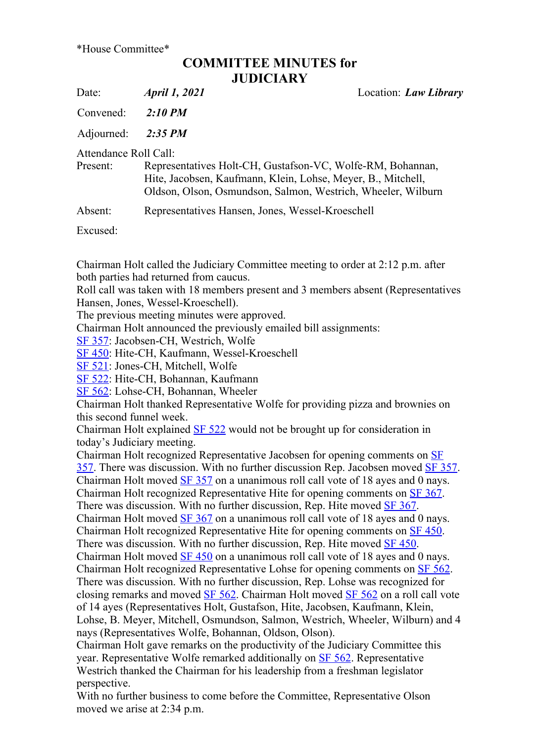## COMMITTEE MINUTES for **JUDICIARY**

Date: *April 1, 2021* Location: *Law Library* 

Convened: 2:10 PM

Adiourned: 2:35 PM

Attendance Roll Call:

| Present: | Representatives Holt-CH, Gustafson-VC, Wolfe-RM, Bohannan,   |
|----------|--------------------------------------------------------------|
|          | Hite, Jacobsen, Kaufmann, Klein, Lohse, Meyer, B., Mitchell, |
|          | Oldson, Olson, Osmundson, Salmon, Westrich, Wheeler, Wilburn |

Absent: Representatives Hansen, Jones, Wessel-Kroeschell

Excused:

Chairman Holt called the Judiciary Committee meeting to order at 2:12 p.m. after both parties had returned from caucus.

Roll call was taken with 18 members present and 3 members absent (Representatives Hansen, Jones, Wessel-Kroeschell).

The previous meeting minutes were approved.

Chairman Holt announced the previously emailed bill assignments:

SF 357: Jacobsen-CH, Westrich, Wolfe

SF 450: Hite-CH, Kaufmann, Wessel-Kroeschell

SF 521: Jones-CH, Mitchell, Wolfe

SF 522: Hite-CH, Bohannan, Kaufmann

SF 562: Lohse-CH, Bohannan, Wheeler

Chairman Holt thanked Representative Wolfe for providing pizza and brownies on this second funnel week.

Chairman Holt explained  $SF 522$  would not be brought up for consideration in today's Judiciary meeting.

Chairman Holt recognized Representative Jacobsen for opening comments on SF 357. There was discussion. With no further discussion Rep. Jacobsen moved SF 357. Chairman Holt moved  $SF$  357 on a unanimous roll call vote of 18 ayes and 0 nays. Chairman Holt recognized Representative Hite for opening comments on SF 367. There was discussion. With no further discussion, Rep. Hite moved SF 367. Chairman Holt moved SF 367 on a unanimous roll call vote of 18 ayes and 0 nays. Chairman Holt recognized Representative Hite for opening comments on SF 450. There was discussion. With no further discussion, Rep. Hite moved **SF 450**. Chairman Holt moved SF 450 on a unanimous roll call vote of 18 ayes and 0 nays. Chairman Holt recognized Representative Lohse for opening comments on SF 562. There was discussion. With no further discussion, Rep. Lohse was recognized for closing remarks and moved SF 562. Chairman Holt moved SF 562 on a roll call vote of 14 ayes (Representatives Holt, Gustafson, Hite, Jacobsen, Kaufmann, Klein, Lohse, B. Meyer, Mitchell, Osmundson, Salmon, Westrich, Wheeler, Wilburn) and 4 nays (Representatives Wolfe, Bohannan, Oldson, Olson).

Chairman Holt gave remarks on the productivity of the Judiciary Committee this year. Representative Wolfe remarked additionally on SF 562. Representative Westrich thanked the Chairman for his leadership from a freshman legislator perspective.

With no further business to come before the Committee, Representative Olson moved we arise at 2:34 p.m.